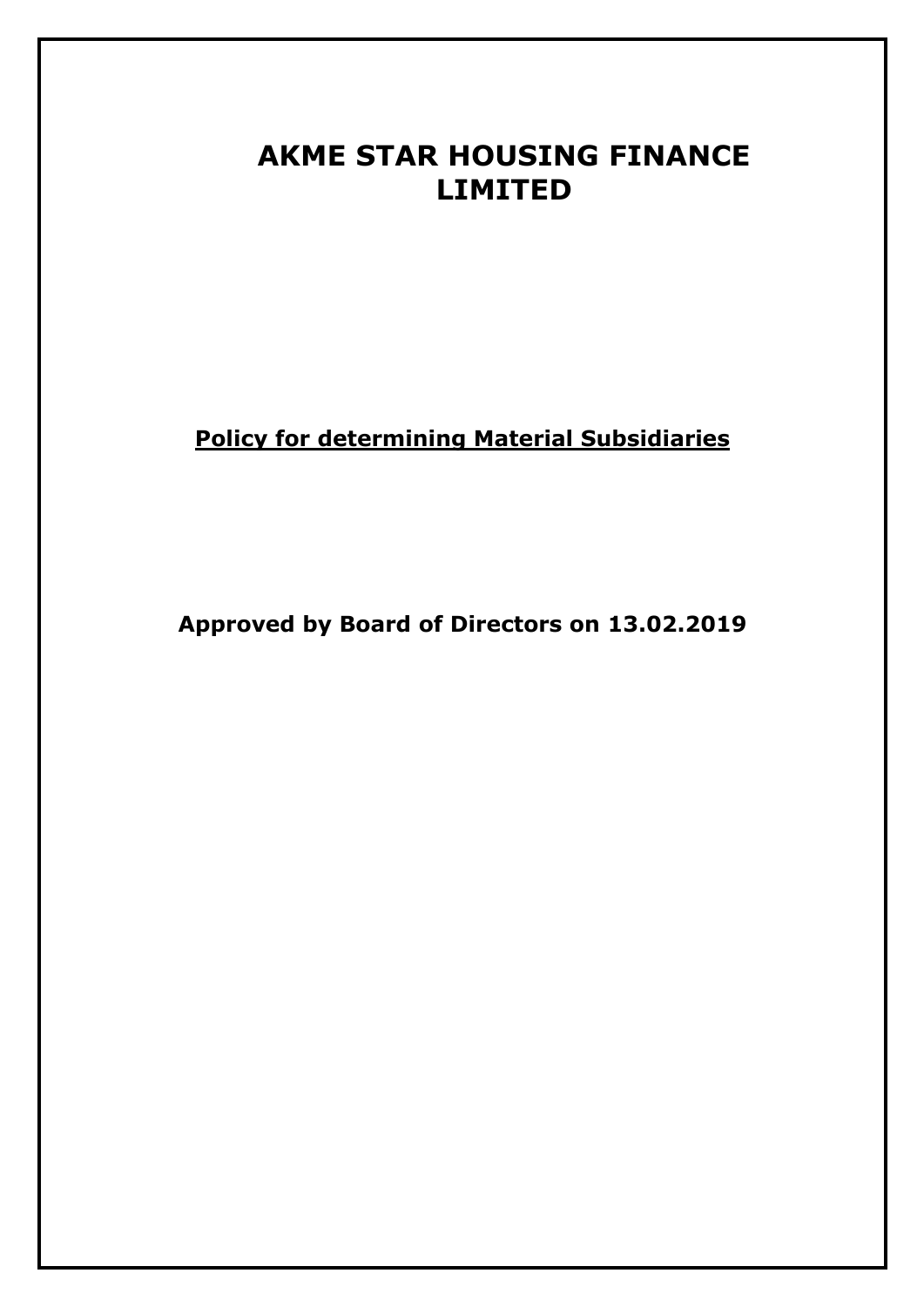# **AKME STAR HOUSING FINANCE LIMITED**

**Policy for determining Material Subsidiaries**

**Approved by Board of Directors on 13.02.2019**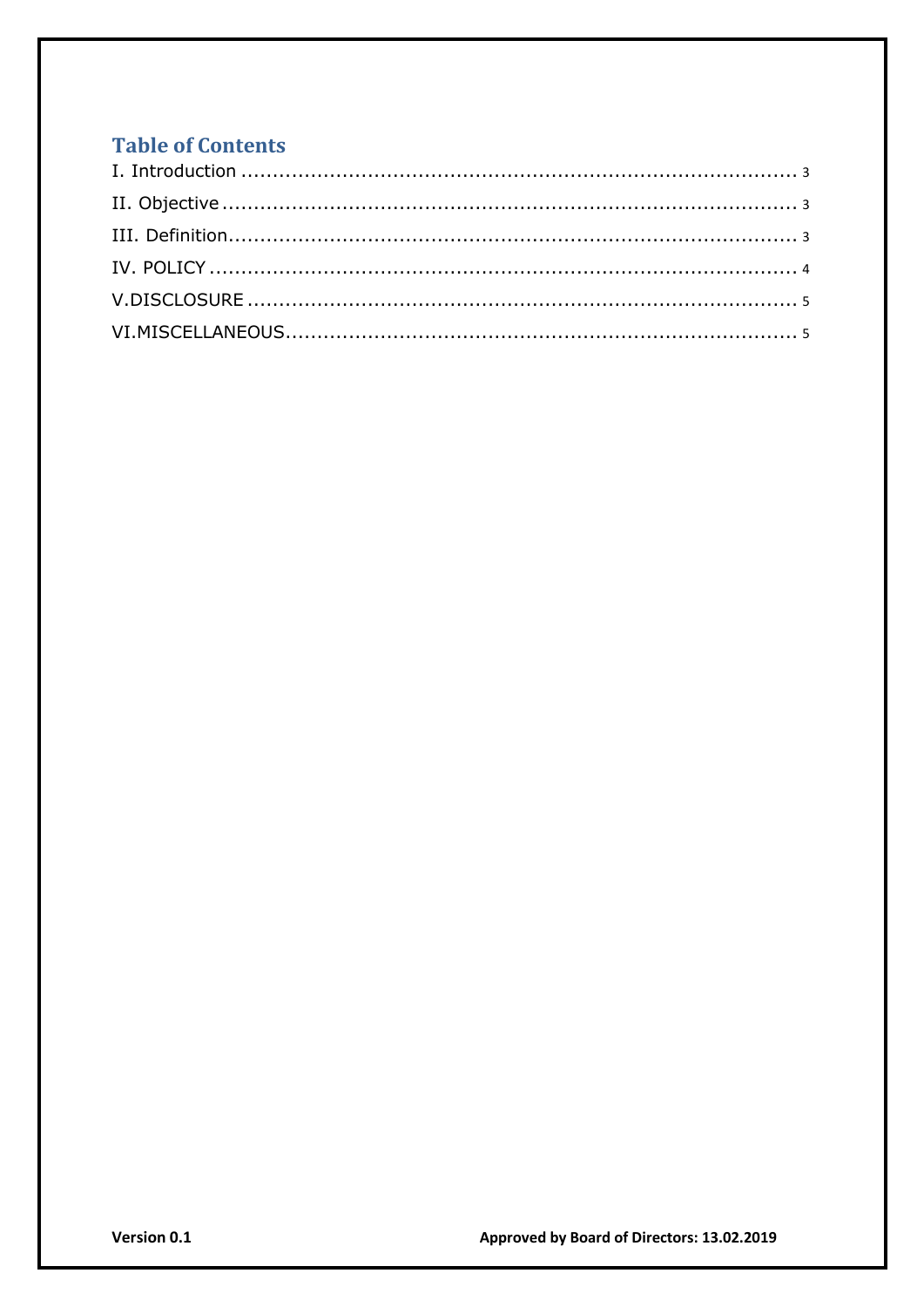# **Table of Contents**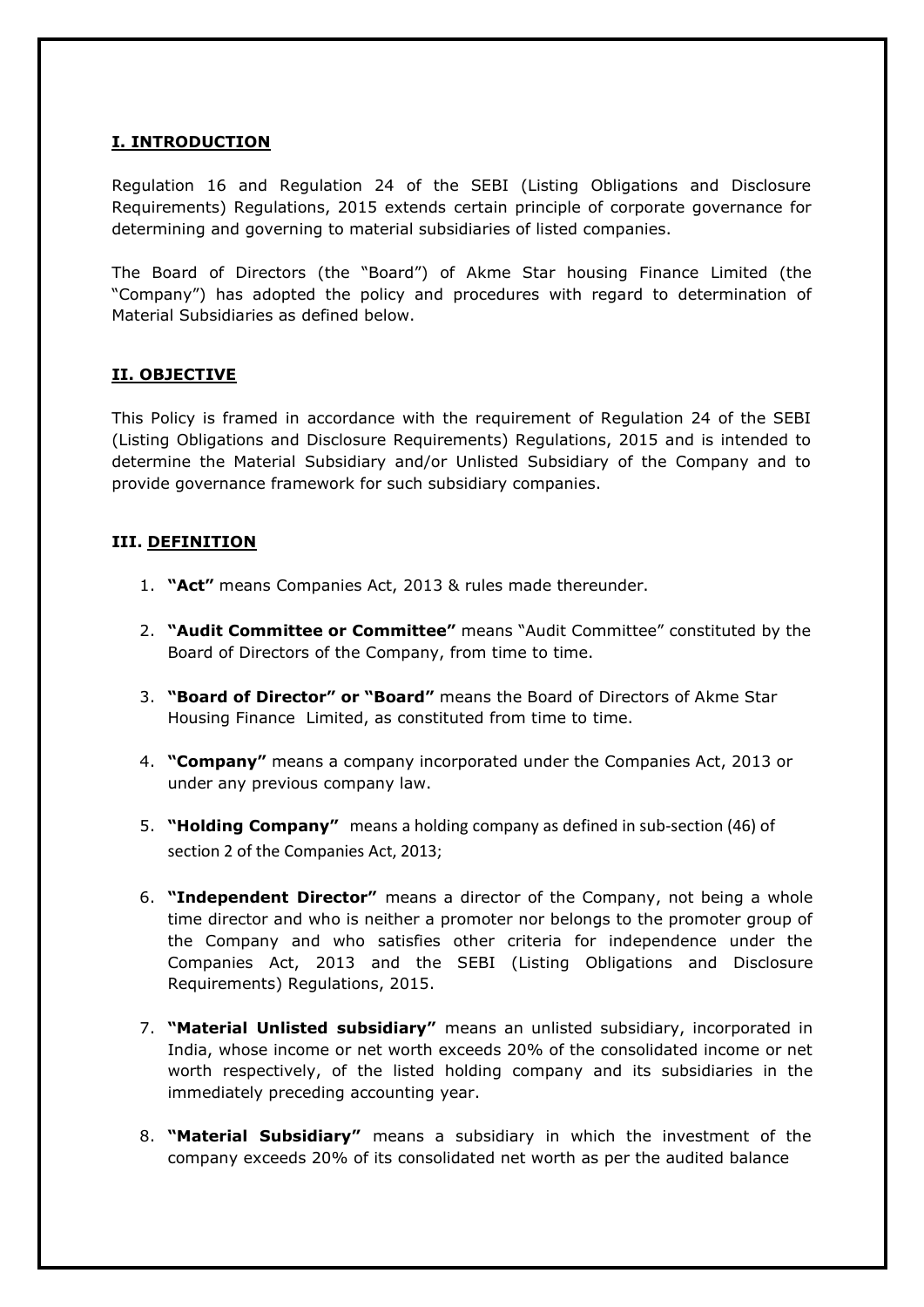## <span id="page-2-0"></span>**I. INTRODUCTION**

Regulation 16 and Regulation 24 of the SEBI (Listing Obligations and Disclosure Requirements) Regulations, 2015 extends certain principle of corporate governance for determining and governing to material subsidiaries of listed companies.

The Board of Directors (the "Board") of Akme Star housing Finance Limited (the "Company") has adopted the policy and procedures with regard to determination of Material Subsidiaries as defined below.

## **II. OBJECTIVE**

This Policy is framed in accordance with the requirement of Regulation 24 of the SEBI (Listing Obligations and Disclosure Requirements) Regulations, 2015 and is intended to determine the Material Subsidiary and/or Unlisted Subsidiary of the Company and to provide governance framework for such subsidiary companies.

#### **III. DEFINITION**

- 1. **"Act"** means Companies Act, 2013 & rules made thereunder.
- 2. **"Audit Committee or Committee"** means "Audit Committee" constituted by the Board of Directors of the Company, from time to time.
- 3. **"Board of Director" or "Board"** means the Board of Directors of Akme Star Housing Finance Limited, as constituted from time to time.
- 4. **"Company"** means a company incorporated under the Companies Act, 2013 or under any previous company law.
- 5. **"Holding Company"** means a holding company as defined in sub-section (46) of section 2 of the Companies Act, 2013;
- 6. **"Independent Director"** means a director of the Company, not being a whole time director and who is neither a promoter nor belongs to the promoter group of the Company and who satisfies other criteria for independence under the Companies Act, 2013 and the SEBI (Listing Obligations and Disclosure Requirements) Regulations, 2015.
- 7. **"Material Unlisted subsidiary"** means an unlisted subsidiary, incorporated in India, whose income or net worth exceeds 20% of the consolidated income or net worth respectively, of the listed holding company and its subsidiaries in the immediately preceding accounting year.
- 8. **"Material Subsidiary"** means a subsidiary in which the investment of the company exceeds 20% of its consolidated net worth as per the audited balance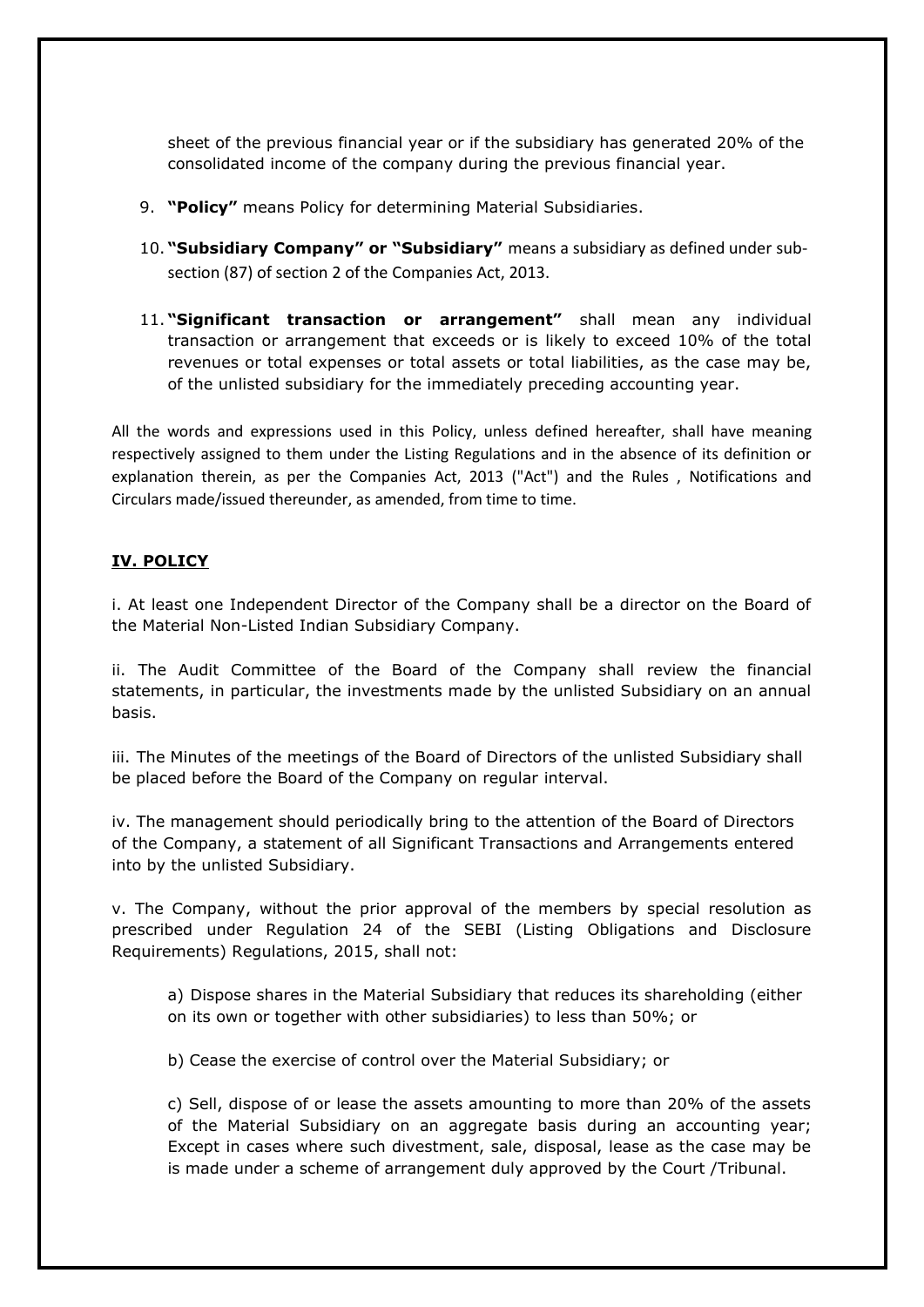<span id="page-3-0"></span>sheet of the previous financial year or if the subsidiary has generated 20% of the consolidated income of the company during the previous financial year.

- 9. **"Policy"** means Policy for determining Material Subsidiaries.
- 10. **"Subsidiary Company" or "Subsidiary"** means a subsidiary as defined under subsection (87) of section 2 of the Companies Act, 2013.
- 11. **"Significant transaction or arrangement"** shall mean any individual transaction or arrangement that exceeds or is likely to exceed 10% of the total revenues or total expenses or total assets or total liabilities, as the case may be, of the unlisted subsidiary for the immediately preceding accounting year.

All the words and expressions used in this Policy, unless defined hereafter, shall have meaning respectively assigned to them under the Listing Regulations and in the absence of its definition or explanation therein, as per the Companies Act, 2013 ("Act") and the Rules , Notifications and Circulars made/issued thereunder, as amended, from time to time.

#### **IV. POLICY**

i. At least one Independent Director of the Company shall be a director on the Board of the Material Non-Listed Indian Subsidiary Company.

ii. The Audit Committee of the Board of the Company shall review the financial statements, in particular, the investments made by the unlisted Subsidiary on an annual basis.

iii. The Minutes of the meetings of the Board of Directors of the unlisted Subsidiary shall be placed before the Board of the Company on regular interval.

iv. The management should periodically bring to the attention of the Board of Directors of the Company, a statement of all Significant Transactions and Arrangements entered into by the unlisted Subsidiary.

v. The Company, without the prior approval of the members by special resolution as prescribed under Regulation 24 of the SEBI (Listing Obligations and Disclosure Requirements) Regulations, 2015, shall not:

a) Dispose shares in the Material Subsidiary that reduces its shareholding (either on its own or together with other subsidiaries) to less than 50%; or

b) Cease the exercise of control over the Material Subsidiary; or

c) Sell, dispose of or lease the assets amounting to more than 20% of the assets of the Material Subsidiary on an aggregate basis during an accounting year; Except in cases where such divestment, sale, disposal, lease as the case may be is made under a scheme of arrangement duly approved by the Court /Tribunal.